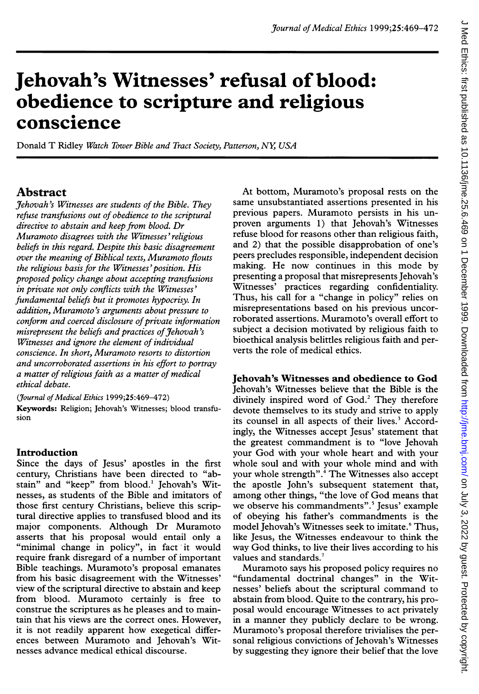# J Med Ethics: first published as 10.1136/jme.25.6.469 on 1 December 1999. Downloaded from http://jme.bmj.com/ on July 3, 2022 by guest. Protected by copyright. on July 3, 2022 by guest. Protected by copyright. <http://jme.bmj.com/> J Med Ethics: first published as 10.1136/jme.25.6.469 on 1 December 1999. Downloaded from

# Jehovah's Witnesses' refusal of blood: obedience to scripture and religious conscience

Donald T Ridley Watch Tower Bible and Tract Society, Patterson, NY, USA

# Abstract

Jehovah's Witnesses are students of the Bible. They refuse transfusions out of obedience to the scriptural directive to abstain and keep from blood. Dr Muramoto disagrees with the Witnesses' religious beliefs in this regard. Despite this basic disagreement over the meaning of Biblical texts, Muramoto flouts the religious basis for the Witnesses'position. His proposed policy change about accepting transfusions in private not only conflicts with the Witnesses' fundamental beliefs but it promotes hypocrisy. In addition, Muramoto's arguments about pressure to conform and coerced disclosure of private information misrepresent the beliefs and practices of Jehovah's Witnesses and ignore the element of individual conscience. In short, Muramoto resorts to distortion and uncorroborated assertions in his effort to portray a matter of religious faith as a matter of medical ethical debate.

(Journal of Medical Ethics 1999;25:469-472) Keywords: Religion; Jehovah's Witnesses; blood transfusion

# Introduction

Since the days of Jesus' apostles in the first century, Christians have been directed to "abstain" and "keep" from blood.' Jehovah's Witnesses, as students of the Bible and imitators of those first century Christians, believe this scriptural directive applies to transfused blood and its major components. Although Dr Muramoto asserts that his proposal would entail only a "minimal change in policy", in fact it would require frank disregard of a number of important Bible teachings. Muramoto's proposal emanates from his basic disagreement with the Witnesses' view of the scriptural directive to abstain and keep from blood. Muramoto certainly is free to construe the scriptures as he pleases and to maintain that his views are the correct ones. However, it is not readily apparent how exegetical differences between Muramoto and Jehovah's Witnesses advance medical ethical discourse.

At bottom, Muramoto's proposal rests on the same unsubstantiated assertions presented in his previous papers. Muramoto persists in his unproven arguments 1) that Jehovah's Witnesses refuse blood for reasons other than religious faith, and 2) that the possible disapprobation of one's peers precludes responsible, independent decision making. He now continues in this mode by presenting a proposal that misrepresents Jehovah's Witnesses' practices regarding confidentiality. Thus, his call for a "change in policy" relies on misrepresentations based on his previous uncorroborated assertions. Muramoto's overall effort to subject a decision motivated by religious faith to bioethical analysis belittles religious faith and perverts the role of medical ethics.

# Jehovah's Witnesses and obedience to God

Jehovah's Witnesses believe that the Bible is the divinely inspired word of God.<sup>2</sup> They therefore devote themselves to its study and strive to apply its counsel in all aspects of their lives.<sup>3</sup> Accordingly, the Witnesses accept Jesus' statement that the greatest commandment is to "love Jehovah your God with your whole heart and with your whole soul and with your whole mind and with your whole strength".4 The Witnesses also accept the apostle John's subsequent statement that, among other things, "the love of God means that we observe his commandments".<sup>5</sup> Jesus' example of obeying his father's commandments is the model Jehovah's Witnesses seek to imitate.<sup>6</sup> Thus, like Jesus, the Witnesses endeavour to think the way God thinks, to live their lives according to his values and standards.<sup>7</sup>

Muramoto says his proposed policy requires no "fundamental doctrinal changes" in the Witnesses' beliefs about the scriptural command to abstain from blood. Quite to the contrary, his proposal would encourage Witnesses to act privately in a manner they publicly declare to be wrong. Muramoto's proposal therefore trivialises the personal religious convictions of Jehovah's Witnesses by suggesting they ignore their belief that the love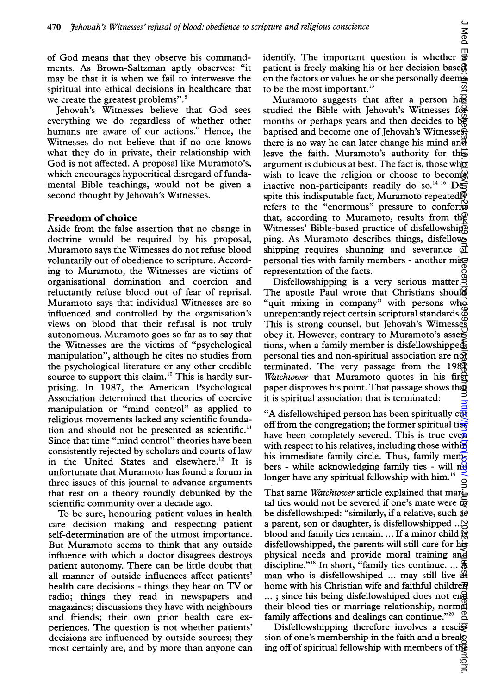of God means that they observe his commandments. As Brown-Saltzman aptly observes: "it may be that it is when we fail to interweave the spiritual into ethical decisions in healthcare that we create the greatest problems".<sup>8</sup>

Jehovah's Witnesses believe that God sees everything we do regardless of whether other humans are aware of our actions.<sup>9</sup> Hence, the Witnesses do not believe that if no one knows what they do in private, their relationship with God is not affected. A proposal like Muramoto's, which encourages hypocritical disregard of fundamental Bible teachings, would not be given a second thought by Jehovah's Witnesses.

### Freedom of choice

Aside from the false assertion that no change in doctrine would be required by his proposal, Muramoto says the Witnesses do not refuse blood voluntarily out of obedience to scripture. According to Muramoto, the Witnesses are victims of organisational domination and coercion and reluctantly refuse blood out of fear of reprisal. Muramoto says that individual Witnesses are so influenced and controlled by the organisation's views on blood that their refusal is not truly autonomous. Muramoto goes so far as to say that the Witnesses are the victims of "psychological manipulation", although he cites no studies from the psychological literature or any other credible source to support this claim.<sup>10</sup> This is hardly surprising. In 1987, the American Psychological Association determined that theories of coercive manipulation or "mind control" as applied to religious movements lacked any scientific foundation and should not be presented as scientific." Since that time "mind control" theories have been consistently rejected by scholars and courts of law in the United States and elsewhere.<sup>12</sup> It is unfortunate that Muramoto has found a forum in three issues of this journal to advance arguments that rest on a theory roundly debunked by the scientific community over a decade ago.

To be sure, honouring patient values in health care decision making and respecting patient self-determination are of the utmost importance. But Muramoto seems to think that any outside influence with which a doctor disagrees destroys patient autonomy. There can be little doubt that all manner of outside influences affect patients' health care decisions - things they hear on TV or radio; things they read in newspapers and magazines; discussions they have with neighbours and friends; their own prior health care experiences. The question is not whether patients' decisions are influenced by outside sources; they most certainly are, and by more than anyone can identify. The important question is whether  $\overline{\mathbf{\hat{s}}}$ patient is freely making his or her decision bases on the factors or values he or she personally deems. to be the most important.<sup>13</sup>

Muramoto suggests that after a person has studied the Bible with Jehovah's Witnesses for months or perhaps years and then decides to  $b\ddot{g}$ baptised and become one of Jehovah's Witnesses. there is no way he can later change his mind and leave the faith. Muramoto's authority for this argument is dubious at best. The fact is, those who wish to leave the religion or choose to become inactive non-participants readily do so.<sup>14 16</sup> Despite this indisputable fact, Muramoto repeated $\overline{\mathbb{S}}$ refers to the "enormous" pressure to conform that, according to Muramoto, results from the Witnesses' Bible-based practice of disfellowship ping. As Muramoto describes things, disfellowshipping requires shunning and severance of personal ties with family members - another misrepresentation of the facts. pture and religious conscience<br>
dentify. The important question is whether  $\frac{16}{9}$ <br>
continue is free tyre match in the factors or values he or the person base of the onter different of the one is the one of the one of

Disfellowshipping is a very serious matter.<sup>9</sup> The apostle Paul wrote that Christians should "quit mixing in company" with persons who unrepentantly reject certain scriptural standards.<sup>8</sup> This is strong counsel, but Jehovah's Witnesses obey it. However, contrary to Muramoto's assertions, when a family member is disfellowshipped personal ties and non-spiritual association are  $n\overline{M}$ terminated. The very passage from the  $198\frac{1}{10}$ Watchtower that Muramoto quotes in his first paper disproves his point. That passage shows that it is spiritual association that is terminated:

"A disfellowshiped person has been spiritually  $c\bar{w}$ off from the congregation; the former spiritual ties have been completely severed. This is true even with respect to his relatives, including those within his immediate family circle. Thus, family members - while acknowledging family ties - will  $n\Theta$ longer have any spiritual fellowship with him.<sup>19</sup>

That same *Watchtower* article explained that marital ties would not be severed if one's mate were  $\overline{\mathbf{e}}$ be disfellowshiped: "similarly, if a relative, such as a parent, son or daughter, is disfellowshipped ... $\Delta$ blood and family ties remain. ... If a minor child  $\tilde{g}$ disfellowshipped, the parents will still care for his physical needs and provide moral training and discipline."<sup>18</sup> In short, "family ties continue. ... \$ man who is disfellowshiped ... may still live  $#$ home with his Christian wife and faithful childre $\overline{v}$ ...; since his being disfellowshiped does not eng their blood ties or marriage relationship, normal<br>family affections and dealings can continue."<sup>20</sup> family affections and dealings can continue."<sup>20</sup>

Disfellowshipping therefore involves a resci $\mathfrak{F}$ sion of one's membership in the faith and a break-<br>ing off of spiritual fellowship with members of the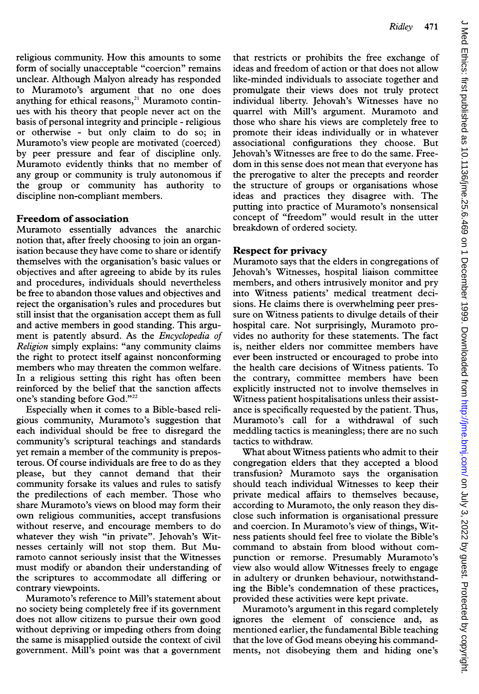religious community. How this amounts to some form of socially unacceptable "coercion" remains unclear. Although Malyon already has responded to Muramoto's argument that no one does anything for ethical reasons, $21$  Muramoto continues with his theory that people never act on the basis of personal integrity and principle - religious or otherwise - but only claim to do so; in Muramoto's view people are motivated (coerced) by peer pressure and fear of discipline only. Muramoto evidently thinks that no member of any group or community is truly autonomous if the group or community has authority to discipline non-compliant members.

### Freedom of association

Muramoto essentially advances the anarchic notion that, after freely choosing to join an organisation because they have come to share or identify themselves with the organisation's basic values or objectives and after agreeing to abide by its rules and procedures, individuals should nevertheless be free to abandon those values and objectives and reject the organisation's rules and procedures but still insist that the organisation accept them as full and active members in good standing. This argument is patently absurd. As the Encyclopedia of Religion simply explains: "any community claims the right to protect itself against nonconforming members who may threaten the common welfare. In a religious setting this right has often been reinforced by the belief that the sanction affects one's standing before God."<sup>22</sup>

Especially when it comes to a Bible-based religious community, Muramoto's suggestion that each individual should be free to disregard the community's scriptural teachings and standards yet remain <sup>a</sup> member of the community is preposterous. Of course individuals are free to do as they please, but they cannot demand that their community forsake its values and rules to satisfy the predilections of each member. Those who share Muramoto's views on blood may form their own religious communities, accept transfusions without reserve, and encourage members to do whatever they wish "in private". Jehovah's Witnesses certainly will not stop them. But Muramoto cannot seriously insist that the Witnesses must modify or abandon their understanding of the scriptures to accommodate all differing or contrary viewpoints.

Muramoto's reference to Mill's statement about no society being completely free if its government does not allow citizens to pursue their own good without depriving or impeding others from doing the same is misapplied outside the context of civil government. Mill's point was that a government that restricts or prohibits the free exchange of ideas and freedom of action or that does not allow like-minded individuals to associate together and promulgate their views does not truly protect individual liberty. Jehovah's Witnesses have no quarrel with Mill's argument. Muramoto and those who share his views are completely free to promote their ideas individually or in whatever associational configurations they choose. But Jehovah's Witnesses are free to do the same. Freedom in this sense does not mean that everyone has the prerogative to alter the precepts and reorder the structure of groups or organisations whose ideas and practices they disagree with. The putting into practice of Muramoto's nonsensical concept of "freedom" would result in the utter breakdown of ordered society.

### Respect for privacy

Muramoto says that the elders in congregations of Jehovah's Witnesses, hospital liaison committee members, and others intrusively monitor and pry into Witness patients' medical treatment decisions. He claims there is overwhelming peer pressure on Witness patients to divulge details of their hospital care. Not surprisingly, Muramoto provides no authority for these statements. The fact is, neither elders nor committee members have ever been instructed or encouraged to probe into the health care decisions of Witness patients. To the contrary, committee members have been explicitly instructed not to involve themselves in Witness patient hospitalisations unless their assistance is specifically requested by the patient. Thus, Muramoto's call for a withdrawal of such meddling tactics is meaningless; there are no such tactics to withdraw.

What about Witness patients who admit to their congregation elders that they accepted a blood transfusion? Muramoto says the organisation should teach individual Witnesses to keep their private medical affairs to themselves because, according to Muramoto, the only reason they disclose such information is organisational pressure and coercion. In Muramoto's view of things, Witness patients should feel free to violate the Bible's command to abstain from blood without compunction or remorse. Presumably Muramoto's view also would allow Witnesses freely to engage in adultery or drunken behaviour, notwithstanding the Bible's condemnation of these practices, provided these activities were kept private.

Muramoto's argument in this regard completely ignores the element of conscience and, as mentioned earlier, the fundamental Bible teaching that the love of God means obeying his commandments, not disobeying them and hiding one's